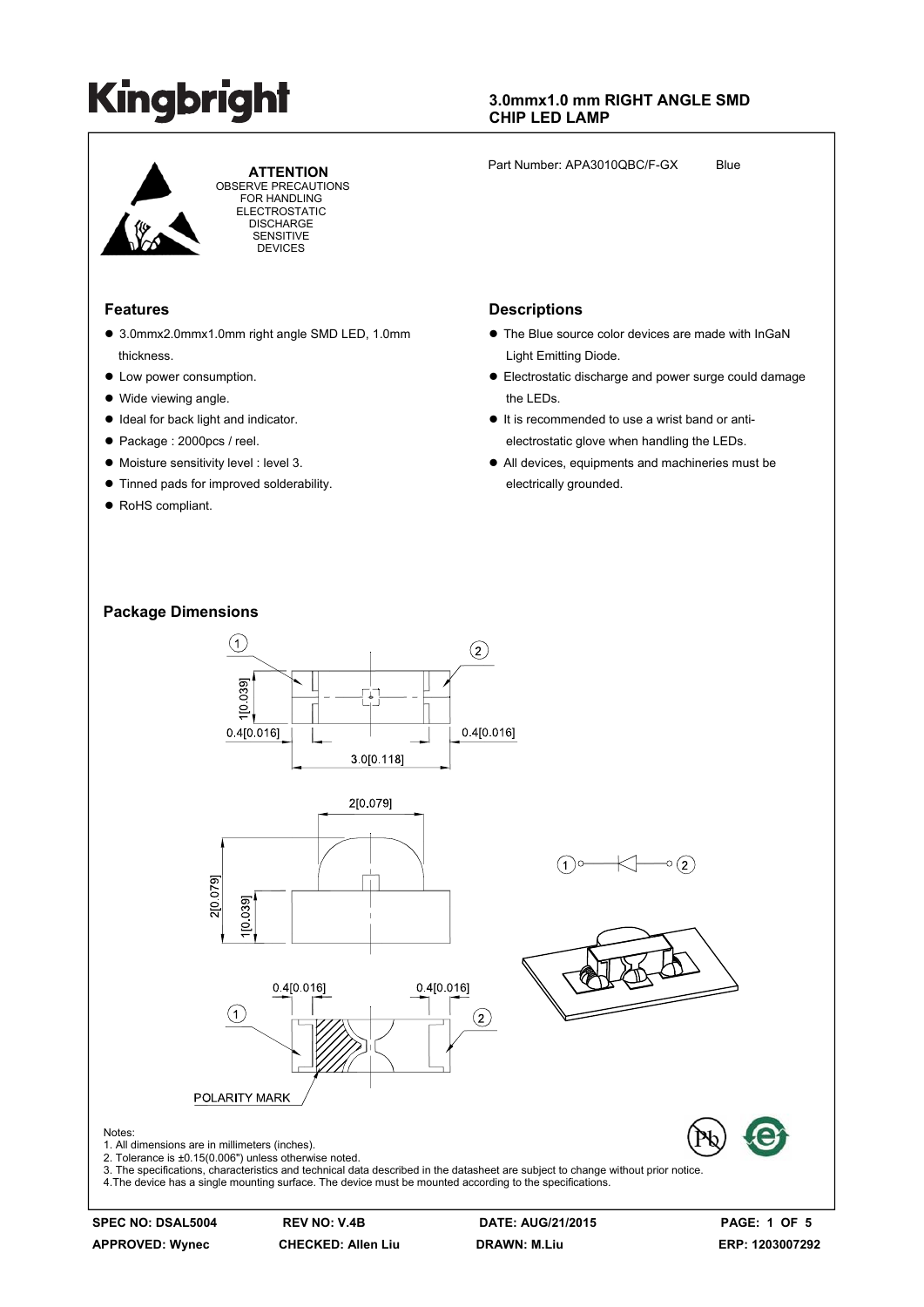

 **ATTENTION** OBSERVE PRECAUTIONS FOR HANDLING **ELECTROSTATIC DISCHARGE SENSITIVE** DEVICES

#### **Features**

- 3.0mmx2.0mmx1.0mm right angle SMD LED, 1.0mm thickness.
- Low power consumption.
- $\bullet$  Wide viewing angle.
- $\bullet$  Ideal for back light and indicator.
- Package : 2000pcs / reel.
- $\bullet$  Moisture sensitivity level : level 3.
- $\bullet$  Tinned pads for improved solderability.
- RoHS compliant.

#### **3.0mmx1.0 mm RIGHT ANGLE SMD CHIP LED LAMP**

Part Number: APA3010QBC/F-GX Blue

#### **Descriptions**

- The Blue source color devices are made with InGaN Light Emitting Diode.
- Electrostatic discharge and power surge could damage the LEDs.
- $\bullet$  It is recommended to use a wrist band or antielectrostatic glove when handling the LEDs.
- All devices, equipments and machineries must be electrically grounded.

#### **Package Dimensions**



**APPROVED: Wynec CHECKED: Allen Liu DRAWN: M.Liu ERP: 1203007292**

**SPEC NO: DSAL5004 REV NO: V.4B DATE: AUG/21/2015 PAGE: 1 OF 5**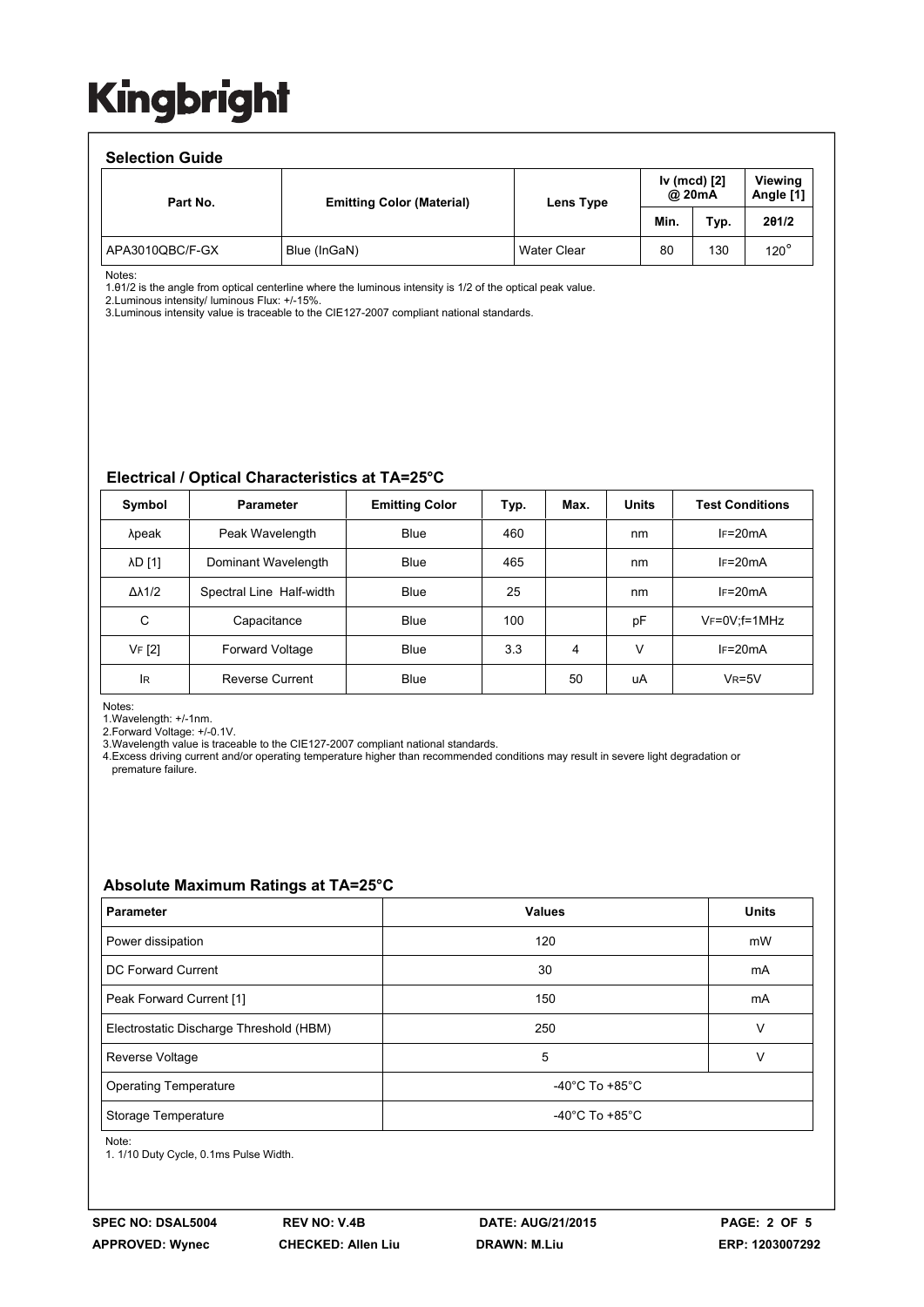#### **Selection Guide**

| <u>sonova vii saidv</u> |                                  |                    |                        |      |                             |  |  |  |
|-------------------------|----------------------------------|--------------------|------------------------|------|-----------------------------|--|--|--|
| Part No.                | <b>Emitting Color (Material)</b> | Lens Type          | Iv (mcd) [2]<br>@ 20mA |      | <b>Viewing</b><br>Angle [1] |  |  |  |
|                         |                                  |                    | Min.                   | Typ. | 201/2                       |  |  |  |
| APA3010QBC/F-GX         | Blue (InGaN)                     | <b>Water Clear</b> | 80                     | 130  | $120^\circ$                 |  |  |  |

Notes:

1.θ1/2 is the angle from optical centerline where the luminous intensity is 1/2 of the optical peak value.

2.Luminous intensity/ luminous Flux: +/-15%.

3.Luminous intensity value is traceable to the CIE127-2007 compliant national standards.

#### **Electrical / Optical Characteristics at TA=25°C**

| Symbol              | <b>Parameter</b>         | <b>Emitting Color</b> | Typ. | Max. | <b>Units</b> | <b>Test Conditions</b> |
|---------------------|--------------------------|-----------------------|------|------|--------------|------------------------|
| λpeak               | Peak Wavelength          | <b>Blue</b>           | 460  |      | nm           | $IF=20mA$              |
| λD [1]              | Dominant Wavelength      | Blue                  | 465  |      | nm           | $IF=20mA$              |
| $\Delta\lambda$ 1/2 | Spectral Line Half-width | Blue                  | 25   |      | nm           | $IF=20mA$              |
| C                   | Capacitance              | <b>Blue</b>           | 100  |      | pF           | $V_F = 0V$ ; f=1MHz    |
| VF [2]              | <b>Forward Voltage</b>   | Blue                  | 3.3  | 4    | v            | $IF=20mA$              |
| <b>IR</b>           | <b>Reverse Current</b>   | <b>Blue</b>           |      | 50   | uA           | $V_R = 5V$             |

Notes:

1.Wavelength: +/-1nm.

2.Forward Voltage: +/-0.1V.

3.Wavelength value is traceable to the CIE127-2007 compliant national standards.

4.Excess driving current and/or operating temperature higher than recommended conditions may result in severe light degradation or premature failure.

#### **Absolute Maximum Ratings at TA=25°C**

| <b>Parameter</b>                        | <b>Values</b>                        | <b>Units</b> |  |  |
|-----------------------------------------|--------------------------------------|--------------|--|--|
| Power dissipation                       | 120                                  | mW           |  |  |
| <b>DC Forward Current</b>               | 30                                   | mA           |  |  |
| Peak Forward Current [1]                | 150                                  | mA           |  |  |
| Electrostatic Discharge Threshold (HBM) | 250                                  | v            |  |  |
| Reverse Voltage                         | 5                                    |              |  |  |
| <b>Operating Temperature</b>            | -40 $^{\circ}$ C To +85 $^{\circ}$ C |              |  |  |
| Storage Temperature                     | -40 $^{\circ}$ C To +85 $^{\circ}$ C |              |  |  |

Note:

1. 1/10 Duty Cycle, 0.1ms Pulse Width.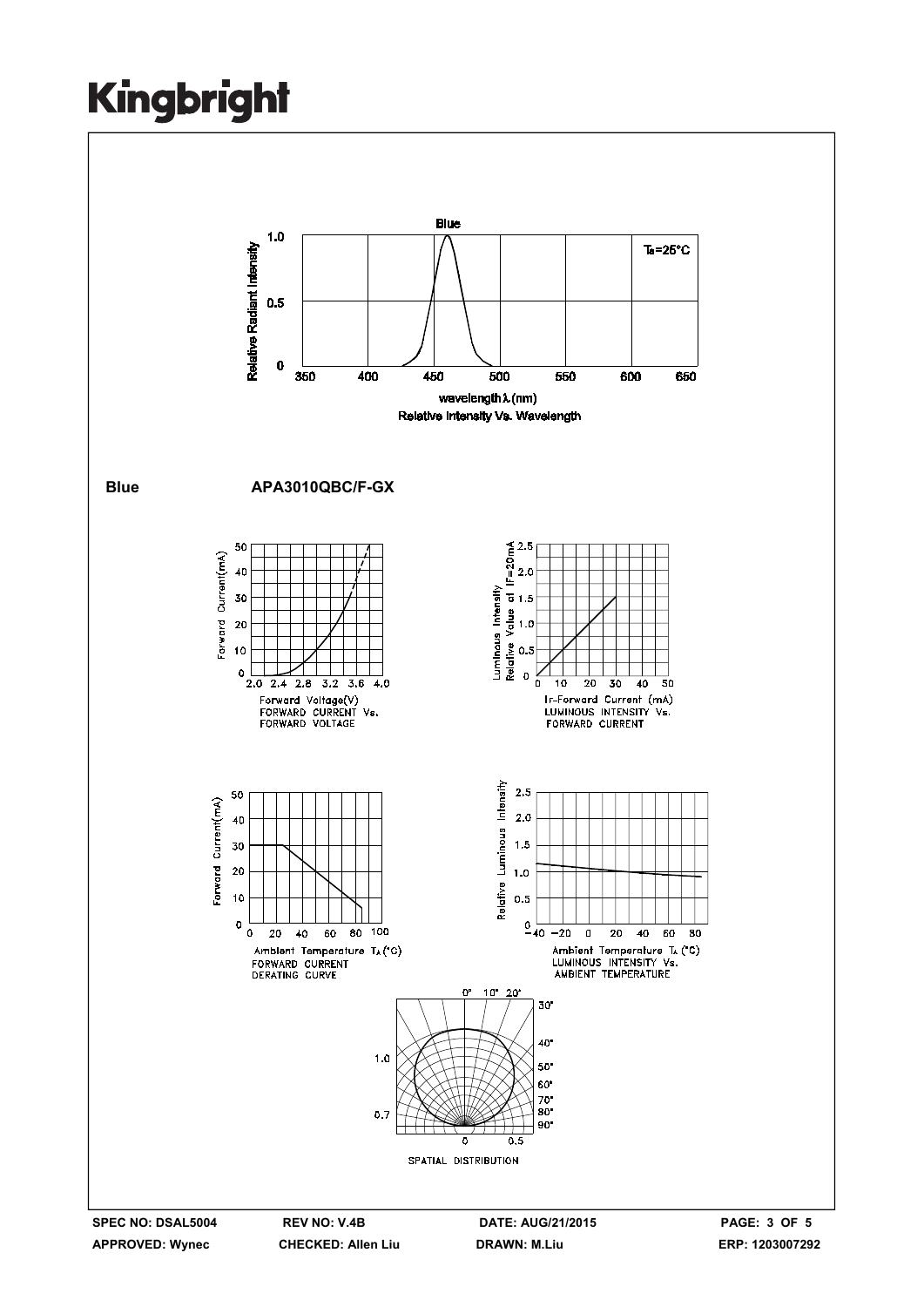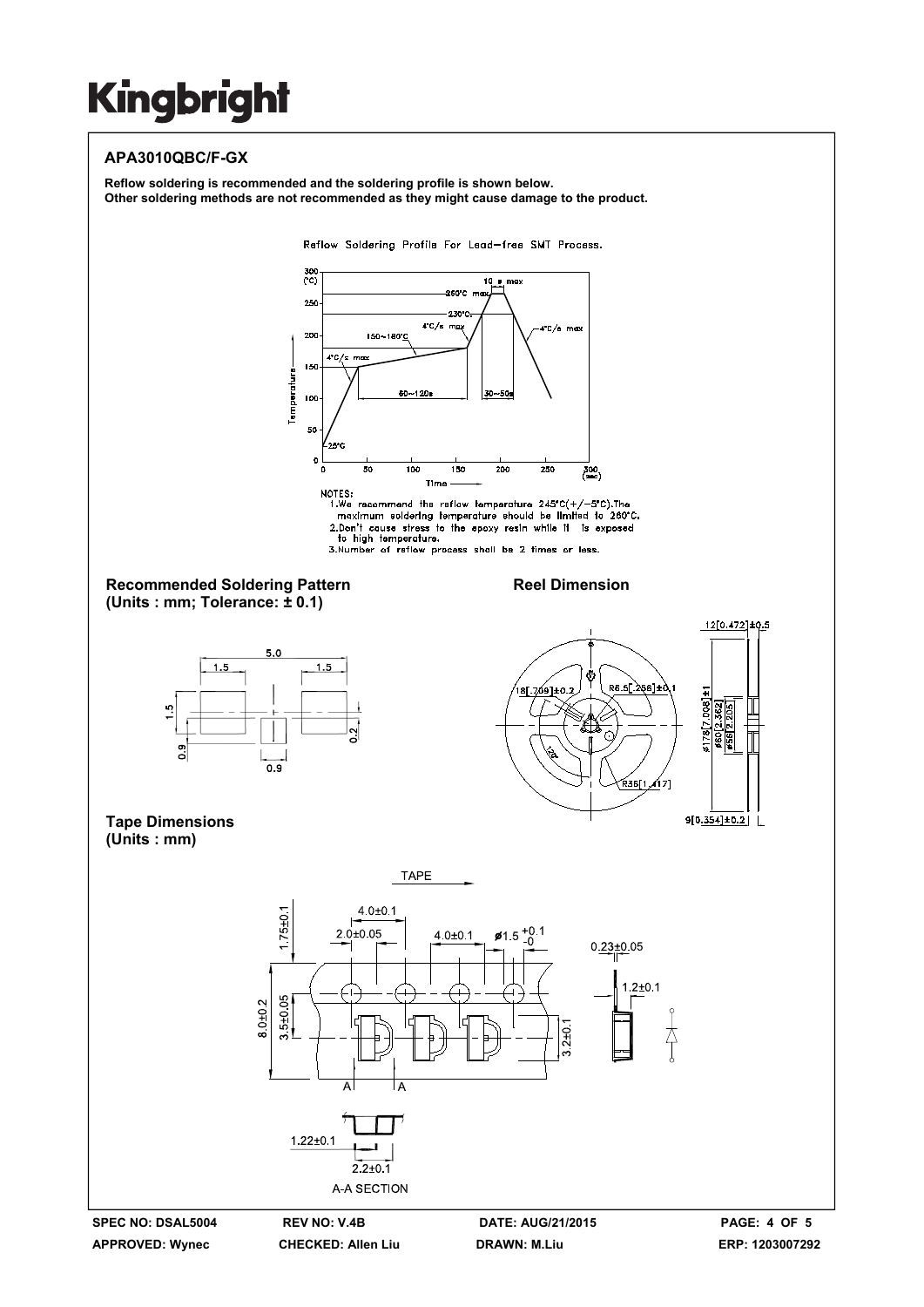### **APA3010QBC/F-GX**

**Reflow soldering is recommended and the soldering profile is shown below. Other soldering methods are not recommended as they might cause damage to the product.**

Reflow Soldering Profile For Lead-free SMT Process.





**SPEC NO: DSAL5004 REV NO: V.4B DATE: AUG/21/2015 PAGE: 4 OF 5** 

.<br>ده 56 2.205